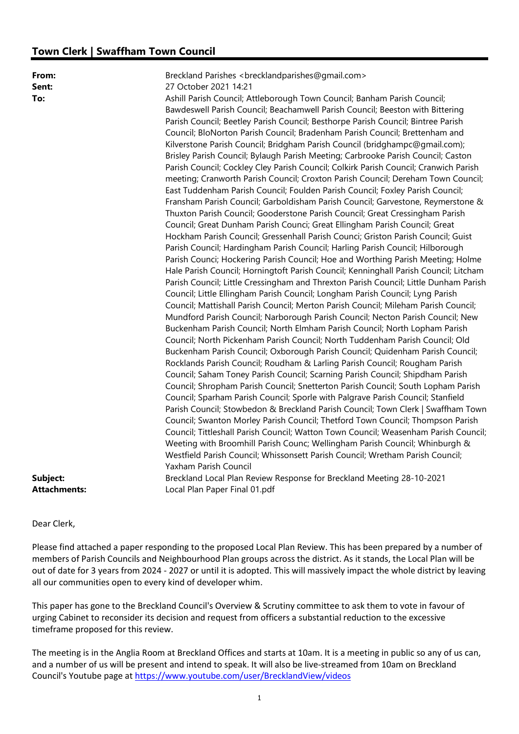## Town Clerk | Swaffham Town Council

| From:<br>Sent:<br>To:           | Breckland Parishes <brecklandparishes@gmail.com><br/>27 October 2021 14:21<br/>Ashill Parish Council; Attleborough Town Council; Banham Parish Council;<br/>Bawdeswell Parish Council; Beachamwell Parish Council; Beeston with Bittering<br/>Parish Council; Beetley Parish Council; Besthorpe Parish Council; Bintree Parish<br/>Council; BloNorton Parish Council; Bradenham Parish Council; Brettenham and<br/>Kilverstone Parish Council; Bridgham Parish Council (bridghampc@gmail.com);<br/>Brisley Parish Council; Bylaugh Parish Meeting; Carbrooke Parish Council; Caston<br/>Parish Council; Cockley Cley Parish Council; Colkirk Parish Council; Cranwich Parish<br/>meeting; Cranworth Parish Council; Croxton Parish Council; Dereham Town Council;<br/>East Tuddenham Parish Council; Foulden Parish Council; Foxley Parish Council;<br/>Fransham Parish Council; Garboldisham Parish Council; Garvestone, Reymerstone &amp;<br/>Thuxton Parish Council; Gooderstone Parish Council; Great Cressingham Parish<br/>Council; Great Dunham Parish Counci; Great Ellingham Parish Council; Great<br/>Hockham Parish Council; Gressenhall Parish Counci; Griston Parish Council; Guist<br/>Parish Council; Hardingham Parish Council; Harling Parish Council; Hilborough<br/>Parish Counci; Hockering Parish Council; Hoe and Worthing Parish Meeting; Holme<br/>Hale Parish Council; Horningtoft Parish Council; Kenninghall Parish Council; Litcham<br/>Parish Council; Little Cressingham and Threxton Parish Council; Little Dunham Parish<br/>Council; Little Ellingham Parish Council; Longham Parish Council; Lyng Parish<br/>Council; Mattishall Parish Council; Merton Parish Council; Mileham Parish Council;<br/>Mundford Parish Council; Narborough Parish Council; Necton Parish Council; New<br/>Buckenham Parish Council; North Elmham Parish Council; North Lopham Parish<br/>Council; North Pickenham Parish Council; North Tuddenham Parish Council; Old<br/>Buckenham Parish Council; Oxborough Parish Council; Quidenham Parish Council;<br/>Rocklands Parish Council; Roudham &amp; Larling Parish Council; Rougham Parish<br/>Council; Saham Toney Parish Council; Scarning Parish Council; Shipdham Parish<br/>Council; Shropham Parish Council; Snetterton Parish Council; South Lopham Parish<br/>Council; Sparham Parish Council; Sporle with Palgrave Parish Council; Stanfield<br/>Parish Council; Stowbedon &amp; Breckland Parish Council; Town Clerk   Swaffham Town<br/>Council; Swanton Morley Parish Council; Thetford Town Council; Thompson Parish<br/>Council; Tittleshall Parish Council; Watton Town Council; Weasenham Parish Council;<br/>Weeting with Broomhill Parish Counc; Wellingham Parish Council; Whinburgh &amp;<br/>Westfield Parish Council; Whissonsett Parish Council; Wretham Parish Council;<br/>Yaxham Parish Council</brecklandparishes@gmail.com> |
|---------------------------------|------------------------------------------------------------------------------------------------------------------------------------------------------------------------------------------------------------------------------------------------------------------------------------------------------------------------------------------------------------------------------------------------------------------------------------------------------------------------------------------------------------------------------------------------------------------------------------------------------------------------------------------------------------------------------------------------------------------------------------------------------------------------------------------------------------------------------------------------------------------------------------------------------------------------------------------------------------------------------------------------------------------------------------------------------------------------------------------------------------------------------------------------------------------------------------------------------------------------------------------------------------------------------------------------------------------------------------------------------------------------------------------------------------------------------------------------------------------------------------------------------------------------------------------------------------------------------------------------------------------------------------------------------------------------------------------------------------------------------------------------------------------------------------------------------------------------------------------------------------------------------------------------------------------------------------------------------------------------------------------------------------------------------------------------------------------------------------------------------------------------------------------------------------------------------------------------------------------------------------------------------------------------------------------------------------------------------------------------------------------------------------------------------------------------------------------------------------------------------------------------------------------------------------------------------------------------------------------------------------------------------------------------------------------------------------------------------------------------------------------------------------------------------------------------------------------------------------------------------------------------------------------------------------------------|
| Subject:<br><b>Attachments:</b> | Breckland Local Plan Review Response for Breckland Meeting 28-10-2021<br>Local Plan Paper Final 01.pdf                                                                                                                                                                                                                                                                                                                                                                                                                                                                                                                                                                                                                                                                                                                                                                                                                                                                                                                                                                                                                                                                                                                                                                                                                                                                                                                                                                                                                                                                                                                                                                                                                                                                                                                                                                                                                                                                                                                                                                                                                                                                                                                                                                                                                                                                                                                                                                                                                                                                                                                                                                                                                                                                                                                                                                                                                 |
|                                 |                                                                                                                                                                                                                                                                                                                                                                                                                                                                                                                                                                                                                                                                                                                                                                                                                                                                                                                                                                                                                                                                                                                                                                                                                                                                                                                                                                                                                                                                                                                                                                                                                                                                                                                                                                                                                                                                                                                                                                                                                                                                                                                                                                                                                                                                                                                                                                                                                                                                                                                                                                                                                                                                                                                                                                                                                                                                                                                        |

Dear Clerk,

Please find attached a paper responding to the proposed Local Plan Review. This has been prepared by a number of members of Parish Councils and Neighbourhood Plan groups across the district. As it stands, the Local Plan will be out of date for 3 years from 2024 - 2027 or until it is adopted. This will massively impact the whole district by leaving all our communities open to every kind of developer whim.

This paper has gone to the Breckland Council's Overview & Scrutiny committee to ask them to vote in favour of urging Cabinet to reconsider its decision and request from officers a substantial reduction to the excessive timeframe proposed for this review.

The meeting is in the Anglia Room at Breckland Offices and starts at 10am. It is a meeting in public so any of us can, and a number of us will be present and intend to speak. It will also be live-streamed from 10am on Breckland Council's Youtube page at https://www.youtube.com/user/BrecklandView/videos